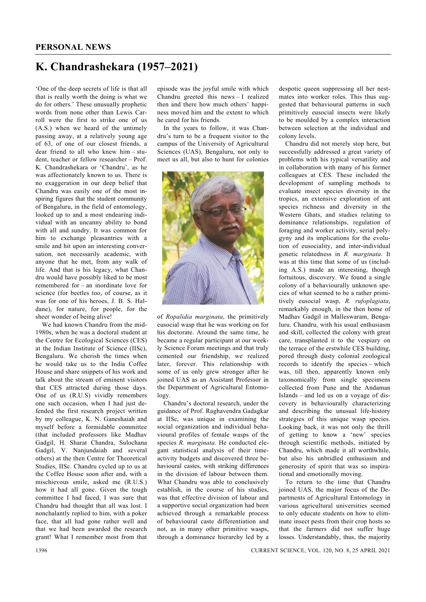## **K. Chandrashekara (1957–2021)**

'One of the deep secrets of life is that all that is really worth the doing is what we do for others.' These unusually prophetic words from none other than Lewis Carroll were the first to strike one of us (A.S.) when we heard of the untimely passing away, at a relatively young age of 63, of one of our closest friends, a dear friend to all who knew him – student, teacher or fellow researcher – Prof. K. Chandrashekara or 'Chandru', as he was affectionately known to us. There is no exaggeration in our deep belief that Chandru was easily one of the most inspiring figures that the student community of Bengaluru, in the field of entomology, looked up to and a most endearing individual with an uncanny ability to bond with all and sundry. It was common for him to exchange pleasantries with a smile and hit upon an interesting conversation, not necessarily academic, with anyone that he met, from any walk of life. And that is his legacy, what Chandru would have possibly liked to be most remembered for – an inordinate love for science (for beetles too, of course, as it was for one of his heroes, J. B. S. Haldane), for nature, for people, for the sheer wonder of being alive!

 We had known Chandru from the mid-1980s, when he was a doctoral student at the Centre for Ecological Sciences (CES) at the Indian Institute of Science (IISc), Bengaluru. We cherish the times when he would take us to the India Coffee House and share snippets of his work and talk about the stream of eminent visitors that CES attracted during those days. One of us (R.U.S) vividly remembers one such occasion, when I had just defended the first research project written by my colleague, K. N. Ganeshaiah and myself before a formidable committee (that included professors like Madhav Gadgil, H. Sharat Chandra, Sulochana Gadgil, V. Nanjundaiah and several others) at the then Centre for Theoretical Studies, IISc. Chandru cycled up to us at the Coffee House soon after and, with a mischievous smile, asked me (R.U.S.) how it had all gone. Given the tough committee I had faced, I was sure that Chandru had thought that all was lost. I nonchalantly replied to him, with a poker face, that all had gone rather well and that we had been awarded the research grant! What I remember most from that episode was the joyful smile with which Chandru greeted this news – I realized then and there how much others' happiness moved him and the extent to which he cared for his friends.

 In the years to follow, it was Chandru's turn to be a frequent visitor to the campus of the University of Agricultural Sciences (UAS), Bengaluru, not only to meet us all, but also to hunt for colonies



of *Ropalidia marginata*, the primitively eusocial wasp that he was working on for his doctorate. Around the same time, he became a regular participant at our weekly Science Forum meetings and that truly cemented our friendship, we realized later, forever. This relationship with some of us only grew stronger after he joined UAS as an Assistant Professor in the Department of Agricultural Entomology.

 Chandru's doctoral research, under the guidance of Prof. Raghavendra Gadagkar at IISc, was unique in examining the social organization and individual behavioural profiles of female wasps of the species *R. marginata*. He conducted elegant statistical analysis of their timeactivity budgets and discovered three behavioural castes, with striking differences in the division of labour between them. What Chandru was able to conclusively establish, in the course of his studies, was that effective division of labour and a supportive social organization had been achieved through a remarkable process of behavioural caste differentiation and not, as in many other primitive wasps, through a dominance hierarchy led by a

despotic queen suppressing all her nestmates into worker roles. This thus suggested that behavioural patterns in such primitively eusocial insects were likely to be moulded by a complex interaction between selection at the individual and colony levels.

 Chandru did not merely stop here, but successfully addressed a great variety of problems with his typical versatility and in collaboration with many of his former colleagues at CES. These included the development of sampling methods to evaluate insect species diversity in the tropics, an extensive exploration of ant species richness and diversity in the Western Ghats, and studies relating to dominance relationships, regulation of foraging and worker activity, serial polygyny and its implications for the evolution of eusociality, and inter-individual genetic relatedness in *R. marginata*. It was at this time that some of us (including A.S.) made an interesting, though fortuitous, discovery. We found a single colony of a behaviourally unknown species of what seemed to be a rather primitively eusocial wasp, *R. rufoplagiata*, remarkably enough, in the then home of Madhav Gadgil in Malleswaram, Bengaluru. Chandru, with his usual enthusiasm and skill, collected the colony with great care, transplanted it to the vespiary on the terrace of the erstwhile CES building, pored through dusty colonial zoological records to identify the species – which was, till then, apparently known only taxonomically from single specimens collected from Pune and the Andaman Islands – and led us on a voyage of discovery in behaviourally characterizing and describing the unusual life-history strategies of this unique wasp species. Looking back, it was not only the thrill of getting to know a 'new' species through scientific methods, initiated by Chandru, which made it all worthwhile, but also his unbridled enthusiasm and generosity of spirit that was so inspirational and emotionally moving.

 To return to the time that Chandru joined UAS, the major focus of the Departments of Agricultural Entomology in various agricultural universities seemed to only educate students on how to eliminate insect pests from their crop hosts so that the farmers did not suffer huge losses. Understandably, thus, the majority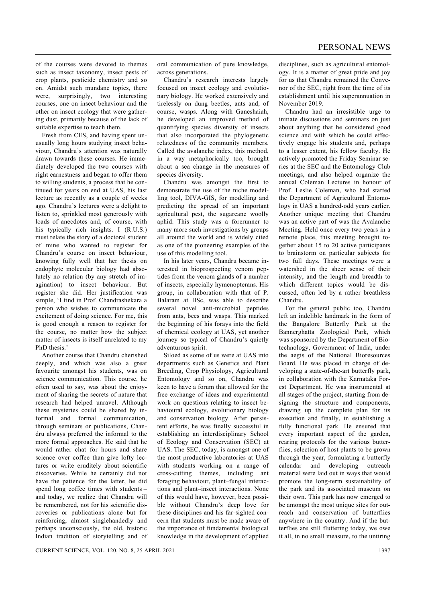of the courses were devoted to themes such as insect taxonomy, insect pests of crop plants, pesticide chemistry and so on. Amidst such mundane topics, there were, surprisingly, two interesting courses, one on insect behaviour and the other on insect ecology that were gathering dust, primarily because of the lack of suitable expertise to teach them.

 Fresh from CES, and having spent unusually long hours studying insect behaviour, Chandru's attention was naturally drawn towards these courses. He immediately developed the two courses with right earnestness and began to offer them to willing students, a process that he continued for years on end at UAS, his last lecture as recently as a couple of weeks ago. Chandru's lectures were a delight to listen to, sprinkled most generously with loads of anecdotes and, of course, with his typically rich insights. I (R.U.S.) must relate the story of a doctoral student of mine who wanted to register for Chandru's course on insect behaviour, knowing fully well that her thesis on endophyte molecular biology had absolutely no relation (by any stretch of imagination) to insect behaviour. But register she did. Her justification was simple, 'I find in Prof. Chandrashekara a person who wishes to communicate the excitement of doing science. For me, this is good enough a reason to register for the course, no matter how the subject matter of insects is itself unrelated to my PhD thesis<sup>'</sup>

 Another course that Chandru cherished deeply, and which was also a great favourite amongst his students, was on science communication. This course, he often used to say, was about the enjoyment of sharing the secrets of nature that research had helped unravel. Although these mysteries could be shared by informal and formal communication, through seminars or publications, Chandru always preferred the informal to the more formal approaches. He said that he would rather chat for hours and share science over coffee than give lofty lectures or write eruditely about scientific discoveries. While he certainly did not have the patience for the latter, he did spend long coffee times with students – and today, we realize that Chandru will be remembered, not for his scientific discoveries or publications alone but for reinforcing, almost singlehandedly and perhaps unconsciously, the old, historic Indian tradition of storytelling and of oral communication of pure knowledge, across generations.

 Chandru's research interests largely focused on insect ecology and evolutionary biology. He worked extensively and tirelessly on dung beetles, ants and, of course, wasps. Along with Ganeshaiah, he developed an improved method of quantifying species diversity of insects that also incorporated the phylogenetic relatedness of the community members. Called the avalanche index, this method, in a way metaphorically too, brought about a sea change in the measures of species diversity.

 Chandru was amongst the first to demonstrate the use of the niche modelling tool, DIVA-GIS, for modelling and predicting the spread of an important agricultural pest, the sugarcane woolly aphid. This study was a forerunner to many more such investigations by groups all around the world and is widely cited as one of the pioneering examples of the use of this modelling tool.

 In his later years, Chandru became interested in bioprospecting venom peptides from the venom glands of a number of insects, especially hymenopterans. His group, in collaboration with that of P. Balaram at IISc, was able to describe several novel anti-microbial peptides from ants, bees and wasps. This marked the beginning of his forays into the field of chemical ecology at UAS, yet another journey so typical of Chandru's quietly adventurous spirit.

 Siloed as some of us were at UAS into departments such as Genetics and Plant Breeding, Crop Physiology, Agricultural Entomology and so on, Chandru was keen to have a forum that allowed for the free exchange of ideas and experimental work on questions relating to insect behavioural ecology, evolutionary biology and conservation biology. After persistent efforts, he was finally successful in establishing an interdisciplinary School of Ecology and Conservation (SEC) at UAS. The SEC, today, is amongst one of the most productive laboratories at UAS with students working on a range of cross-cutting themes, including ant foraging behaviour, plant–fungal interactions and plant–insect interactions. None of this would have, however, been possible without Chandru's deep love for these disciplines and his far-sighted concern that students must be made aware of the importance of fundamental biological knowledge in the development of applied disciplines, such as agricultural entomology. It is a matter of great pride and joy for us that Chandru remained the Convenor of the SEC, right from the time of its establishment until his superannuation in November 2019.

 Chandru had an irresistible urge to initiate discussions and seminars on just about anything that he considered good science and with which he could effectively engage his students and, perhaps to a lesser extent, his fellow faculty. He actively promoted the Friday Seminar series at the SEC and the Entomology Club meetings, and also helped organize the annual Coleman Lectures in honour of Prof. Leslie Coleman, who had started the Department of Agricultural Entomology in UAS a hundred-odd years earlier. Another unique meeting that Chandru was an active part of was the Avalanche Meeting. Held once every two years in a remote place, this meeting brought together about 15 to 20 active participants to brainstorm on particular subjects for two full days. These meetings were a watershed in the sheer sense of their intensity, and the length and breadth to which different topics would be discussed, often led by a rather breathless Chandru.

 For the general public too, Chandru left an indelible landmark in the form of the Bangalore Butterfly Park at the Bannerghatta Zoological Park, which was sponsored by the Department of Biotechnology, Government of India, under the aegis of the National Bioresources Board. He was placed in charge of developing a state-of-the-art butterfly park, in collaboration with the Karnataka Forest Department. He was instrumental at all stages of the project, starting from designing the structure and components, drawing up the complete plan for its execution and finally, in establishing a fully functional park. He ensured that every important aspect of the garden, rearing protocols for the various butterflies, selection of host plants to be grown through the year, formulating a butterfly calendar and developing outreach material were laid out in ways that would promote the long-term sustainability of the park and its associated museum on their own. This park has now emerged to be amongst the most unique sites for outreach and conservation of butterflies anywhere in the country. And if the butterflies are still fluttering today, we owe it all, in no small measure, to the untiring